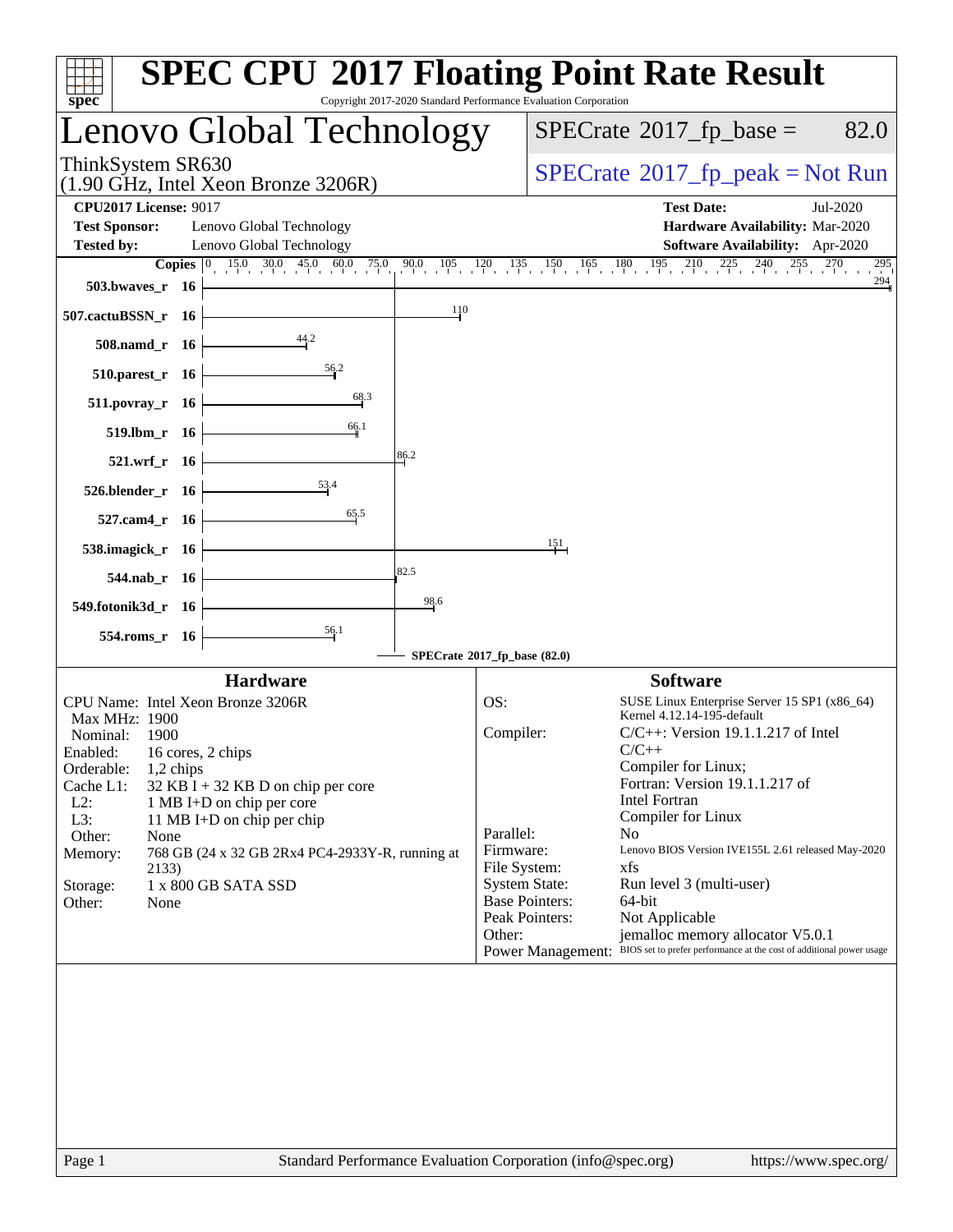| spec <sup>®</sup>                                                                                                                                                                                                                                                                                                                                                                                              | <b>SPEC CPU®2017 Floating Point Rate Result</b><br>Copyright 2017-2020 Standard Performance Evaluation Corporation                                                                                                                                                                                                                                                                                                                                                                                                                                                                                                                                       |
|----------------------------------------------------------------------------------------------------------------------------------------------------------------------------------------------------------------------------------------------------------------------------------------------------------------------------------------------------------------------------------------------------------------|----------------------------------------------------------------------------------------------------------------------------------------------------------------------------------------------------------------------------------------------------------------------------------------------------------------------------------------------------------------------------------------------------------------------------------------------------------------------------------------------------------------------------------------------------------------------------------------------------------------------------------------------------------|
| Lenovo Global Technology                                                                                                                                                                                                                                                                                                                                                                                       | $SPECTate$ <sup>®</sup> 2017_fp_base =<br>82.0                                                                                                                                                                                                                                                                                                                                                                                                                                                                                                                                                                                                           |
| ThinkSystem SR630<br>$(1.90 \text{ GHz}, \text{Intel Xeon Bronze } 3206\text{R})$                                                                                                                                                                                                                                                                                                                              | $SPECTate@2017fr peak = Not Run$                                                                                                                                                                                                                                                                                                                                                                                                                                                                                                                                                                                                                         |
| <b>CPU2017 License: 9017</b><br><b>Test Sponsor:</b><br>Lenovo Global Technology<br>Lenovo Global Technology<br><b>Tested by:</b><br><b>Copies</b> $\begin{bmatrix} 0 & 15.0 & 30.0 & 45.0 & 60.0 & 75.0 \end{bmatrix}$<br>$503.bwaves_r 16$                                                                                                                                                                   | <b>Test Date:</b><br>Jul-2020<br>Hardware Availability: Mar-2020<br>Software Availability: Apr-2020<br>$90.0$ $105$ $120$ $135$ $150$ $165$ $180$ $195$<br>$^{210}$<br>$225 \t240 \t255 \t270$<br>295<br>294                                                                                                                                                                                                                                                                                                                                                                                                                                             |
| 110<br>507.cactuBSSN_r 16                                                                                                                                                                                                                                                                                                                                                                                      |                                                                                                                                                                                                                                                                                                                                                                                                                                                                                                                                                                                                                                                          |
| 508.namd_r 16                                                                                                                                                                                                                                                                                                                                                                                                  |                                                                                                                                                                                                                                                                                                                                                                                                                                                                                                                                                                                                                                                          |
| 56.2<br>$510.parest_r$ 16                                                                                                                                                                                                                                                                                                                                                                                      |                                                                                                                                                                                                                                                                                                                                                                                                                                                                                                                                                                                                                                                          |
| 68.3<br>511.povray_r 16                                                                                                                                                                                                                                                                                                                                                                                        |                                                                                                                                                                                                                                                                                                                                                                                                                                                                                                                                                                                                                                                          |
| 66.1<br>519.lbm_r 16                                                                                                                                                                                                                                                                                                                                                                                           |                                                                                                                                                                                                                                                                                                                                                                                                                                                                                                                                                                                                                                                          |
| 86.2<br>521.wrf_r 16                                                                                                                                                                                                                                                                                                                                                                                           |                                                                                                                                                                                                                                                                                                                                                                                                                                                                                                                                                                                                                                                          |
| <u>53</u> .4<br>526.blender_r 16<br>65.5                                                                                                                                                                                                                                                                                                                                                                       |                                                                                                                                                                                                                                                                                                                                                                                                                                                                                                                                                                                                                                                          |
| 527.cam4_r 16<br>538.imagick_r 16                                                                                                                                                                                                                                                                                                                                                                              | 151                                                                                                                                                                                                                                                                                                                                                                                                                                                                                                                                                                                                                                                      |
| 82.5<br>544.nab_r 16                                                                                                                                                                                                                                                                                                                                                                                           |                                                                                                                                                                                                                                                                                                                                                                                                                                                                                                                                                                                                                                                          |
| 98.6<br>549.fotonik3d_r 16                                                                                                                                                                                                                                                                                                                                                                                     |                                                                                                                                                                                                                                                                                                                                                                                                                                                                                                                                                                                                                                                          |
| 56.1<br>554.roms_r 16                                                                                                                                                                                                                                                                                                                                                                                          |                                                                                                                                                                                                                                                                                                                                                                                                                                                                                                                                                                                                                                                          |
| <b>Hardware</b>                                                                                                                                                                                                                                                                                                                                                                                                | SPECrate®2017_fp_base (82.0)<br><b>Software</b>                                                                                                                                                                                                                                                                                                                                                                                                                                                                                                                                                                                                          |
| CPU Name: Intel Xeon Bronze 3206R<br>Max MHz: 1900<br>Nominal:<br>1900<br>Enabled: 16 cores, 2 chips<br>Orderable:<br>1,2 chips<br>Cache L1:<br>$32$ KB I + 32 KB D on chip per core<br>$L2$ :<br>1 MB I+D on chip per core<br>L3:<br>11 MB I+D on chip per chip<br>Other:<br>None<br>Memory:<br>768 GB (24 x 32 GB 2Rx4 PC4-2933Y-R, running at<br>2133)<br>1 x 800 GB SATA SSD<br>Storage:<br>Other:<br>None | SUSE Linux Enterprise Server 15 SP1 (x86_64)<br>OS:<br>Kernel 4.12.14-195-default<br>Compiler:<br>$C/C++$ : Version 19.1.1.217 of Intel<br>$C/C++$<br>Compiler for Linux;<br>Fortran: Version 19.1.1.217 of<br><b>Intel Fortran</b><br>Compiler for Linux<br>Parallel:<br>N <sub>0</sub><br>Lenovo BIOS Version IVE155L 2.61 released May-2020<br>Firmware:<br>File System:<br>xfs<br><b>System State:</b><br>Run level 3 (multi-user)<br><b>Base Pointers:</b><br>64-bit<br>Peak Pointers:<br>Not Applicable<br>Other:<br>jemalloc memory allocator V5.0.1<br>BIOS set to prefer performance at the cost of additional power usage<br>Power Management: |
|                                                                                                                                                                                                                                                                                                                                                                                                                |                                                                                                                                                                                                                                                                                                                                                                                                                                                                                                                                                                                                                                                          |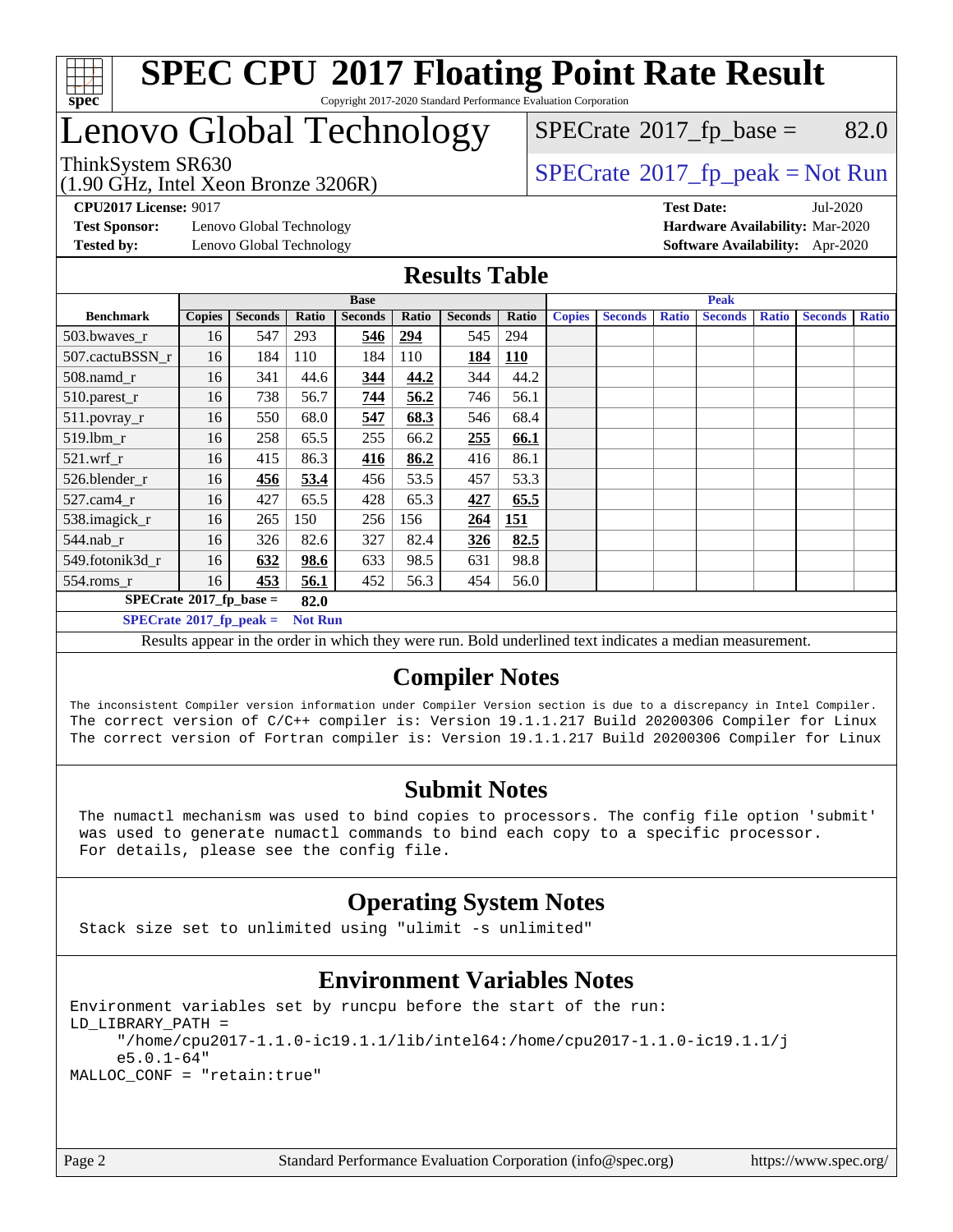

# Lenovo Global Technology

(1.90 GHz, Intel Xeon Bronze 3206R)

 $SPECTate$ <sup>®</sup>[2017\\_fp\\_base =](http://www.spec.org/auto/cpu2017/Docs/result-fields.html#SPECrate2017fpbase) 82.0

## ThinkSystem SR630<br>(1.90 GHz, Intel Year Bronze 3206R) [SPECrate](http://www.spec.org/auto/cpu2017/Docs/result-fields.html#SPECrate2017fppeak)®[2017\\_fp\\_peak = N](http://www.spec.org/auto/cpu2017/Docs/result-fields.html#SPECrate2017fppeak)ot Run

**[Test Sponsor:](http://www.spec.org/auto/cpu2017/Docs/result-fields.html#TestSponsor)** Lenovo Global Technology **[Hardware Availability:](http://www.spec.org/auto/cpu2017/Docs/result-fields.html#HardwareAvailability)** Mar-2020 **[Tested by:](http://www.spec.org/auto/cpu2017/Docs/result-fields.html#Testedby)** Lenovo Global Technology **[Software Availability:](http://www.spec.org/auto/cpu2017/Docs/result-fields.html#SoftwareAvailability)** Apr-2020

**[CPU2017 License:](http://www.spec.org/auto/cpu2017/Docs/result-fields.html#CPU2017License)** 9017 **[Test Date:](http://www.spec.org/auto/cpu2017/Docs/result-fields.html#TestDate)** Jul-2020

#### **[Results Table](http://www.spec.org/auto/cpu2017/Docs/result-fields.html#ResultsTable)**

|                                                    | <b>Base</b>   |                |       |                |       |                |            | <b>Peak</b>   |                |              |                |              |                |              |
|----------------------------------------------------|---------------|----------------|-------|----------------|-------|----------------|------------|---------------|----------------|--------------|----------------|--------------|----------------|--------------|
| <b>Benchmark</b>                                   | <b>Copies</b> | <b>Seconds</b> | Ratio | <b>Seconds</b> | Ratio | <b>Seconds</b> | Ratio      | <b>Copies</b> | <b>Seconds</b> | <b>Ratio</b> | <b>Seconds</b> | <b>Ratio</b> | <b>Seconds</b> | <b>Ratio</b> |
| 503.bwayes_r                                       | 16            | 547            | 293   | 546            | 294   | 545            | 294        |               |                |              |                |              |                |              |
| 507.cactuBSSN r                                    | 16            | 184            | 110   | 184            | 110   | 184            | <b>110</b> |               |                |              |                |              |                |              |
| 508.namd_r                                         | 16            | 341            | 44.6  | 344            | 44.2  | 344            | 44.2       |               |                |              |                |              |                |              |
| 510.parest_r                                       | 16            | 738            | 56.7  | 744            | 56.2  | 746            | 56.1       |               |                |              |                |              |                |              |
| 511.povray_r                                       | 16            | 550            | 68.0  | 547            | 68.3  | 546            | 68.4       |               |                |              |                |              |                |              |
| 519.lbm r                                          | 16            | 258            | 65.5  | 255            | 66.2  | 255            | 66.1       |               |                |              |                |              |                |              |
| $521$ .wrf r                                       | 16            | 415            | 86.3  | 416            | 86.2  | 416            | 86.1       |               |                |              |                |              |                |              |
| 526.blender r                                      | 16            | 456            | 53.4  | 456            | 53.5  | 457            | 53.3       |               |                |              |                |              |                |              |
| $527$ .cam $4 \text{ r}$                           | 16            | 427            | 65.5  | 428            | 65.3  | 427            | 65.5       |               |                |              |                |              |                |              |
| 538.imagick_r                                      | 16            | 265            | 150   | 256            | 156   | 264            | <b>151</b> |               |                |              |                |              |                |              |
| $544.nab_r$                                        | 16            | 326            | 82.6  | 327            | 82.4  | 326            | 82.5       |               |                |              |                |              |                |              |
| 549.fotonik3d r                                    | 16            | 632            | 98.6  | 633            | 98.5  | 631            | 98.8       |               |                |              |                |              |                |              |
| 554.roms_r                                         | 16            | 453            | 56.1  | 452            | 56.3  | 454            | 56.0       |               |                |              |                |              |                |              |
| $SPECrate^{\circ}2017$ fp base =<br>82.0           |               |                |       |                |       |                |            |               |                |              |                |              |                |              |
| $SPECrate^{\circ}2017$ fp peak =<br><b>Not Run</b> |               |                |       |                |       |                |            |               |                |              |                |              |                |              |

Results appear in the [order in which they were run.](http://www.spec.org/auto/cpu2017/Docs/result-fields.html#RunOrder) Bold underlined text [indicates a median measurement.](http://www.spec.org/auto/cpu2017/Docs/result-fields.html#Median)

### **[Compiler Notes](http://www.spec.org/auto/cpu2017/Docs/result-fields.html#CompilerNotes)**

The inconsistent Compiler version information under Compiler Version section is due to a discrepancy in Intel Compiler. The correct version of C/C++ compiler is: Version 19.1.1.217 Build 20200306 Compiler for Linux The correct version of Fortran compiler is: Version 19.1.1.217 Build 20200306 Compiler for Linux

### **[Submit Notes](http://www.spec.org/auto/cpu2017/Docs/result-fields.html#SubmitNotes)**

 The numactl mechanism was used to bind copies to processors. The config file option 'submit' was used to generate numactl commands to bind each copy to a specific processor. For details, please see the config file.

### **[Operating System Notes](http://www.spec.org/auto/cpu2017/Docs/result-fields.html#OperatingSystemNotes)**

Stack size set to unlimited using "ulimit -s unlimited"

#### **[Environment Variables Notes](http://www.spec.org/auto/cpu2017/Docs/result-fields.html#EnvironmentVariablesNotes)**

Environment variables set by runcpu before the start of the run: LD\_LIBRARY\_PATH = "/home/cpu2017-1.1.0-ic19.1.1/lib/intel64:/home/cpu2017-1.1.0-ic19.1.1/j e5.0.1-64" MALLOC\_CONF = "retain:true"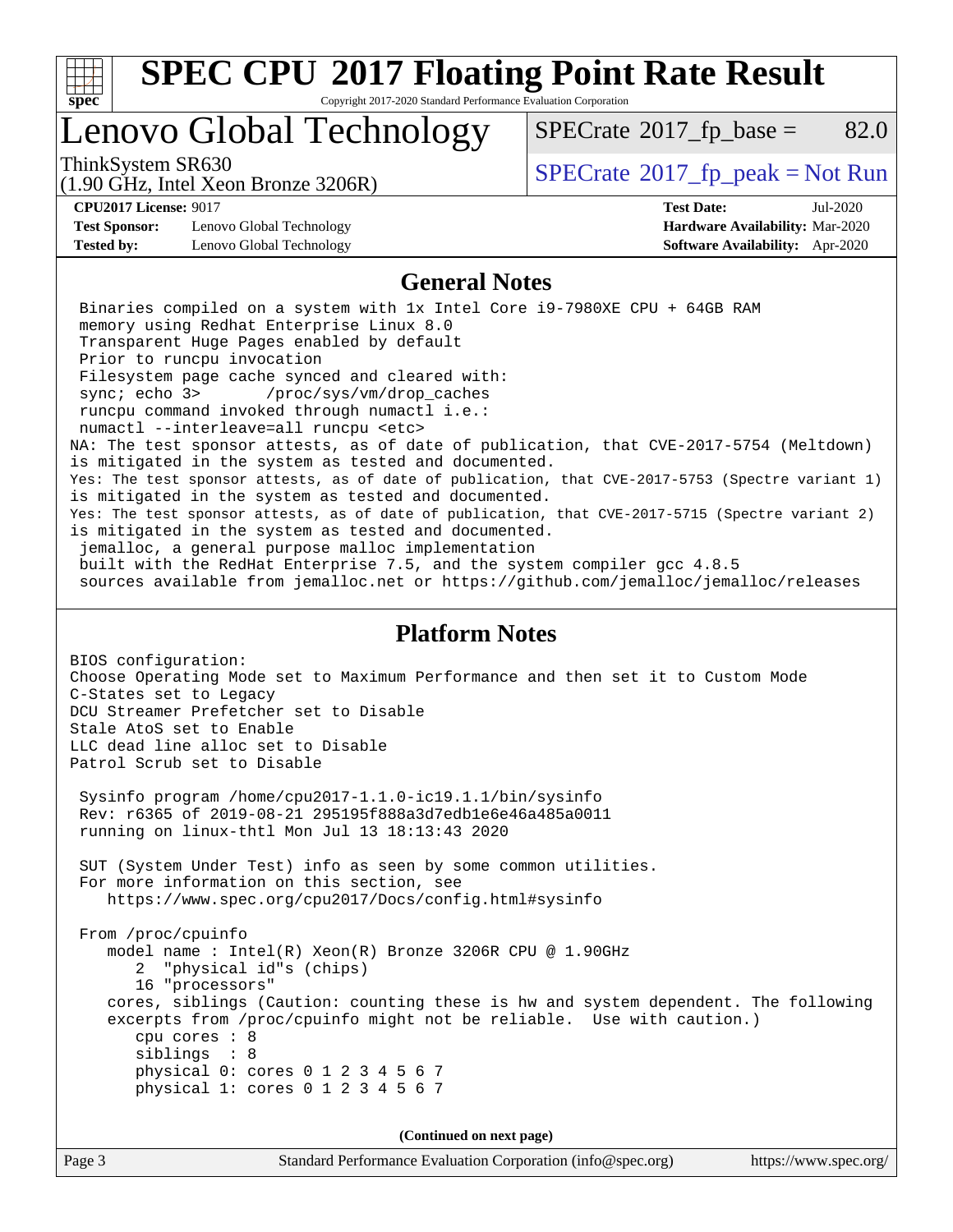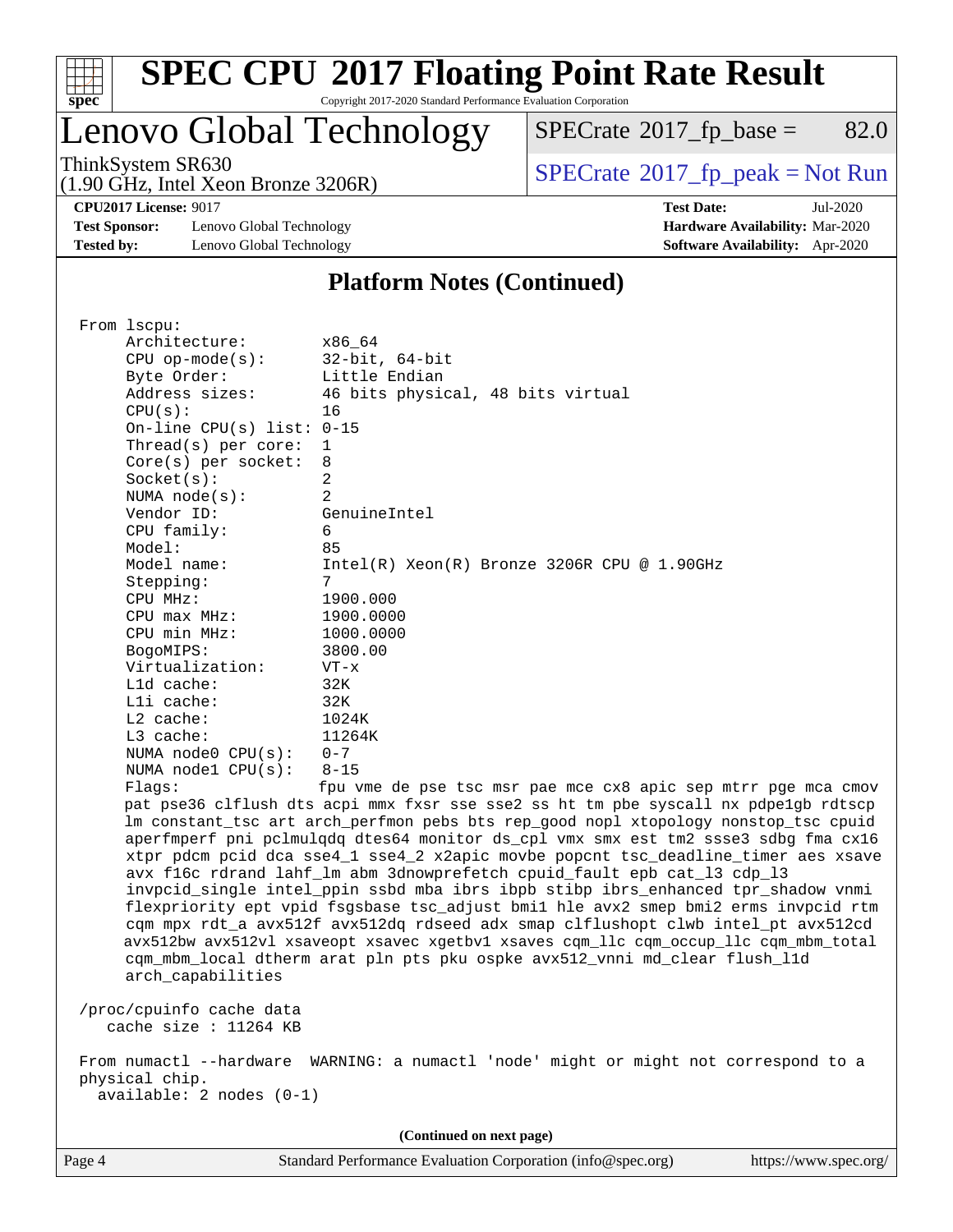

## Lenovo Global Technology

 $SPECTate$ <sup>®</sup>[2017\\_fp\\_base =](http://www.spec.org/auto/cpu2017/Docs/result-fields.html#SPECrate2017fpbase) 82.0

(1.90 GHz, Intel Xeon Bronze 3206R)

ThinkSystem SR630<br>(1.00 GHz, Intel Year Bronze 3206B) [SPECrate](http://www.spec.org/auto/cpu2017/Docs/result-fields.html#SPECrate2017fppeak)®[2017\\_fp\\_peak = N](http://www.spec.org/auto/cpu2017/Docs/result-fields.html#SPECrate2017fppeak)ot Run

**[CPU2017 License:](http://www.spec.org/auto/cpu2017/Docs/result-fields.html#CPU2017License)** 9017 **[Test Date:](http://www.spec.org/auto/cpu2017/Docs/result-fields.html#TestDate)** Jul-2020

**[Test Sponsor:](http://www.spec.org/auto/cpu2017/Docs/result-fields.html#TestSponsor)** Lenovo Global Technology **[Hardware Availability:](http://www.spec.org/auto/cpu2017/Docs/result-fields.html#HardwareAvailability)** Mar-2020 **[Tested by:](http://www.spec.org/auto/cpu2017/Docs/result-fields.html#Testedby)** Lenovo Global Technology **[Software Availability:](http://www.spec.org/auto/cpu2017/Docs/result-fields.html#SoftwareAvailability)** Apr-2020

#### **[Platform Notes \(Continued\)](http://www.spec.org/auto/cpu2017/Docs/result-fields.html#PlatformNotes)**

 From lscpu: Architecture: x86\_64 CPU op-mode(s): 32-bit, 64-bit Byte Order: Little Endian Address sizes: 46 bits physical, 48 bits virtual  $CPU(s):$  16 On-line CPU(s) list: 0-15 Thread(s) per core: 1 Core(s) per socket: 8 Socket(s): 2 NUMA node(s): 2 Vendor ID: GenuineIntel CPU family: 6 Model: 85 Model name: Intel(R) Xeon(R) Bronze 3206R CPU @ 1.90GHz Stepping: CPU MHz: 1900.000 CPU max MHz: 1900.0000 CPU min MHz: 1000.0000 BogoMIPS: 3800.00 Virtualization: VT-x L1d cache: 32K L1i cache: 32K L2 cache: 1024K L3 cache: 11264K NUMA node0 CPU(s): 0-7 NUMA node1 CPU(s): 8-15 Flags: fpu vme de pse tsc msr pae mce cx8 apic sep mtrr pge mca cmov pat pse36 clflush dts acpi mmx fxsr sse sse2 ss ht tm pbe syscall nx pdpe1gb rdtscp lm constant\_tsc art arch\_perfmon pebs bts rep\_good nopl xtopology nonstop\_tsc cpuid aperfmperf pni pclmulqdq dtes64 monitor ds\_cpl vmx smx est tm2 ssse3 sdbg fma cx16 xtpr pdcm pcid dca sse4\_1 sse4\_2 x2apic movbe popcnt tsc\_deadline\_timer aes xsave avx f16c rdrand lahf\_lm abm 3dnowprefetch cpuid\_fault epb cat\_l3 cdp\_l3 invpcid\_single intel\_ppin ssbd mba ibrs ibpb stibp ibrs\_enhanced tpr\_shadow vnmi flexpriority ept vpid fsgsbase tsc\_adjust bmi1 hle avx2 smep bmi2 erms invpcid rtm cqm mpx rdt\_a avx512f avx512dq rdseed adx smap clflushopt clwb intel\_pt avx512cd avx512bw avx512vl xsaveopt xsavec xgetbv1 xsaves cqm\_llc cqm\_occup\_llc cqm\_mbm\_total cqm\_mbm\_local dtherm arat pln pts pku ospke avx512\_vnni md\_clear flush\_l1d arch\_capabilities /proc/cpuinfo cache data cache size : 11264 KB From numactl --hardware WARNING: a numactl 'node' might or might not correspond to a physical chip. available: 2 nodes (0-1)

**(Continued on next page)**

Page 4 Standard Performance Evaluation Corporation [\(info@spec.org\)](mailto:info@spec.org) <https://www.spec.org/>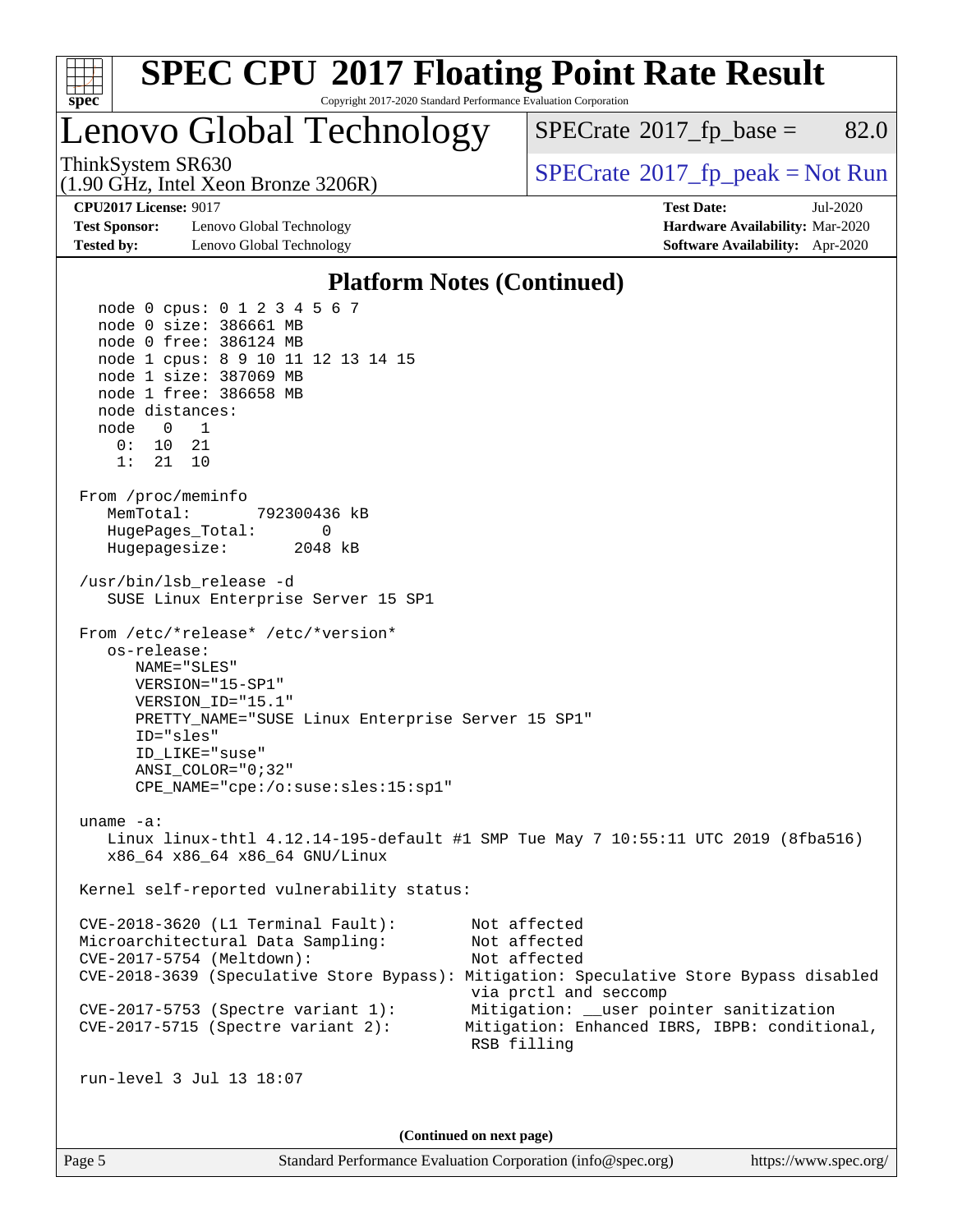

Page 5 Standard Performance Evaluation Corporation [\(info@spec.org\)](mailto:info@spec.org) <https://www.spec.org/>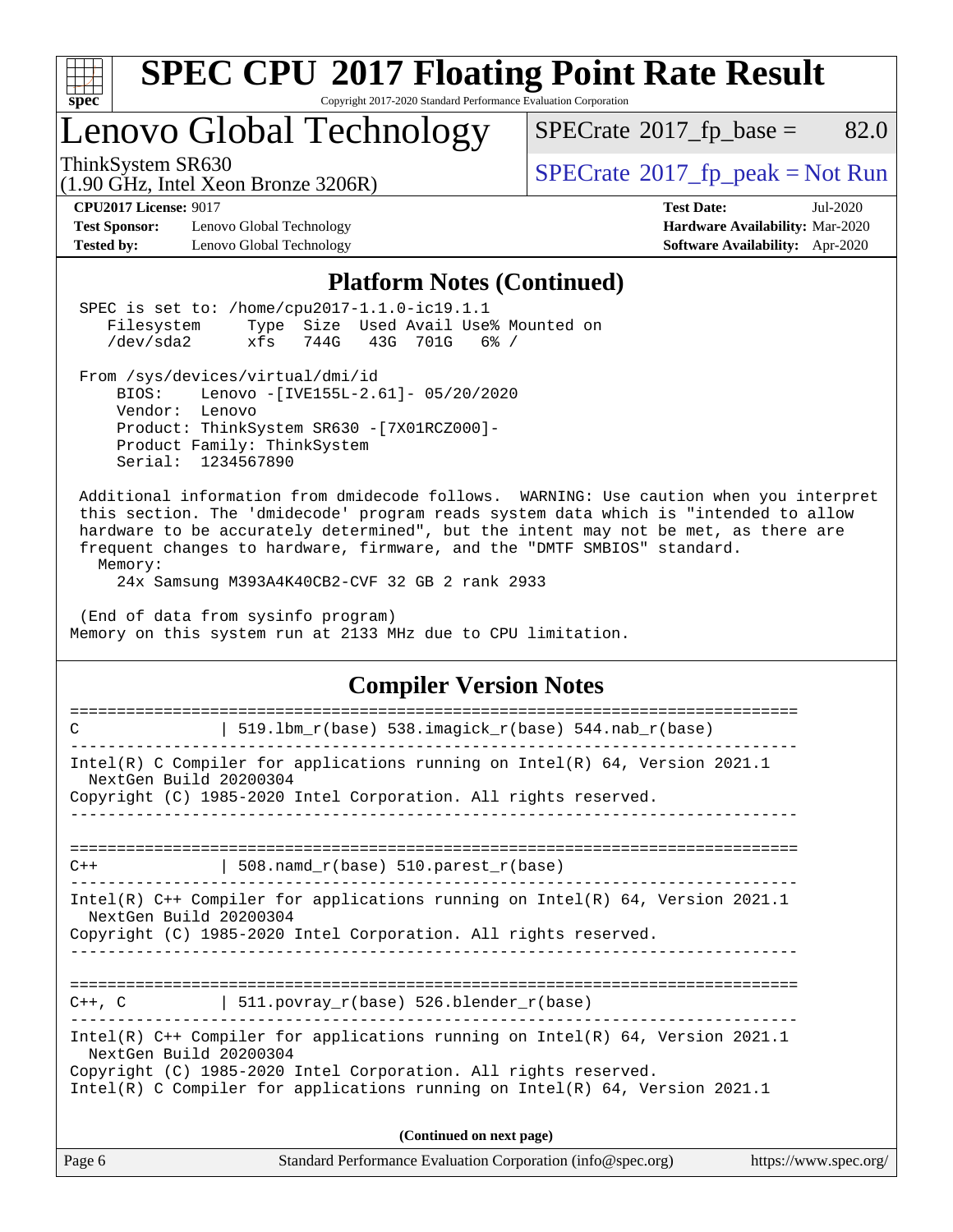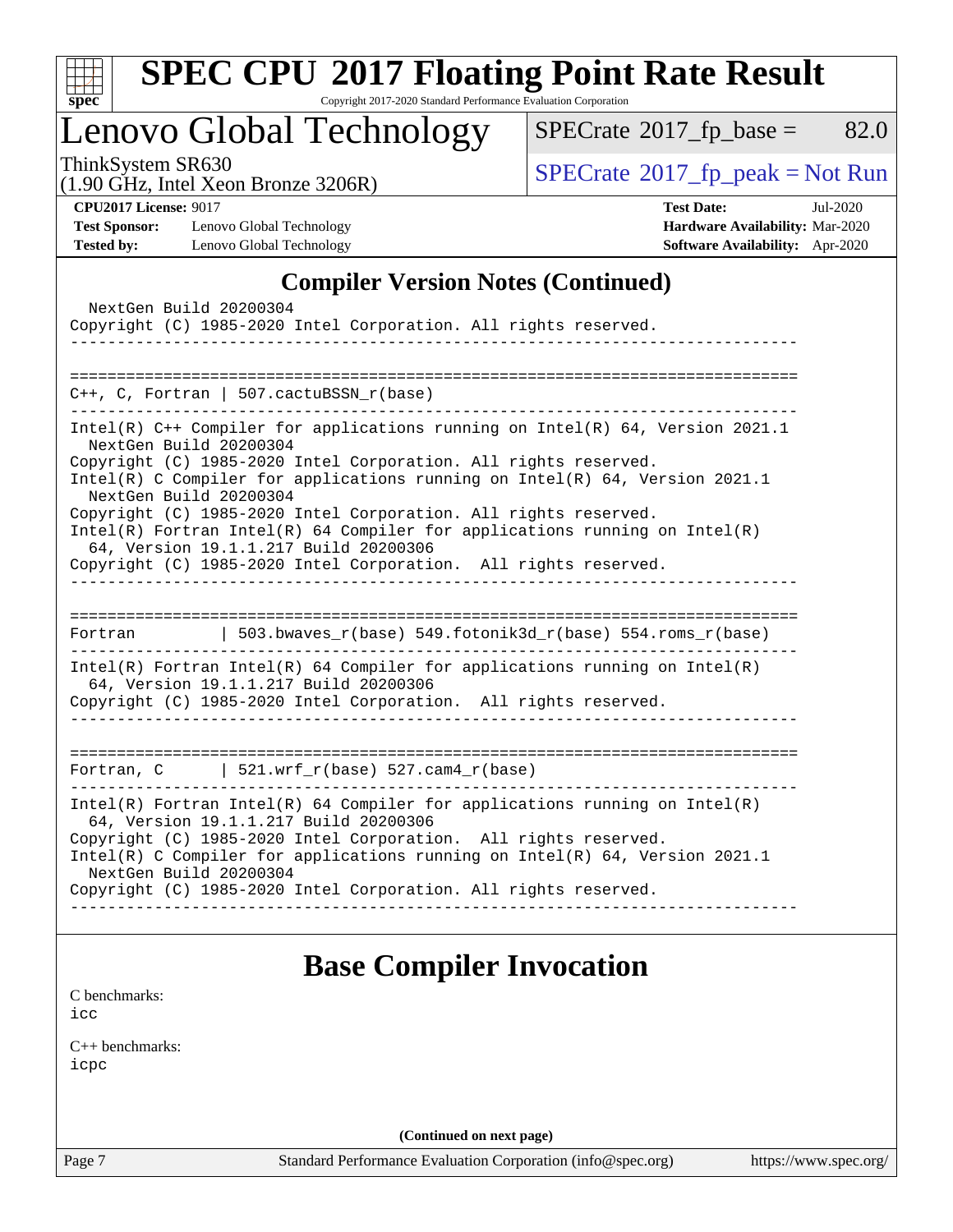

# **[SPEC CPU](http://www.spec.org/auto/cpu2017/Docs/result-fields.html#SPECCPU2017FloatingPointRateResult)[2017 Floating Point Rate Result](http://www.spec.org/auto/cpu2017/Docs/result-fields.html#SPECCPU2017FloatingPointRateResult)**

Copyright 2017-2020 Standard Performance Evaluation Corporation

Lenovo Global Technology

 $SPECTate@2017_fp\_base = 82.0$ 

(1.90 GHz, Intel Xeon Bronze 3206R)

ThinkSystem SR630<br>(1.90 GHz, Intel Xeon Bronze 3206R) [SPECrate](http://www.spec.org/auto/cpu2017/Docs/result-fields.html#SPECrate2017fppeak)®[2017\\_fp\\_peak = N](http://www.spec.org/auto/cpu2017/Docs/result-fields.html#SPECrate2017fppeak)ot Run

**[Test Sponsor:](http://www.spec.org/auto/cpu2017/Docs/result-fields.html#TestSponsor)** Lenovo Global Technology **[Hardware Availability:](http://www.spec.org/auto/cpu2017/Docs/result-fields.html#HardwareAvailability)** Mar-2020 **[Tested by:](http://www.spec.org/auto/cpu2017/Docs/result-fields.html#Testedby)** Lenovo Global Technology **[Software Availability:](http://www.spec.org/auto/cpu2017/Docs/result-fields.html#SoftwareAvailability)** Apr-2020

**[CPU2017 License:](http://www.spec.org/auto/cpu2017/Docs/result-fields.html#CPU2017License)** 9017 **[Test Date:](http://www.spec.org/auto/cpu2017/Docs/result-fields.html#TestDate)** Jul-2020

### **[Compiler Version Notes \(Continued\)](http://www.spec.org/auto/cpu2017/Docs/result-fields.html#CompilerVersionNotes)**

| NextGen Build 20200304<br>Copyright (C) 1985-2020 Intel Corporation. All rights reserved.                                                                                                                                                                                                                                                                                                                                                                                                                                                              |
|--------------------------------------------------------------------------------------------------------------------------------------------------------------------------------------------------------------------------------------------------------------------------------------------------------------------------------------------------------------------------------------------------------------------------------------------------------------------------------------------------------------------------------------------------------|
| $C++$ , C, Fortran   507.cactuBSSN_r(base)                                                                                                                                                                                                                                                                                                                                                                                                                                                                                                             |
| Intel(R) $C++$ Compiler for applications running on Intel(R) 64, Version 2021.1<br>NextGen Build 20200304<br>Copyright (C) 1985-2020 Intel Corporation. All rights reserved.<br>Intel(R) C Compiler for applications running on $Intel(R)$ 64, Version 2021.1<br>NextGen Build 20200304<br>Copyright (C) 1985-2020 Intel Corporation. All rights reserved.<br>$Intel(R)$ Fortran Intel(R) 64 Compiler for applications running on Intel(R)<br>64, Version 19.1.1.217 Build 20200306<br>Copyright (C) 1985-2020 Intel Corporation. All rights reserved. |
| 503.bwaves_r(base) 549.fotonik3d_r(base) 554.roms_r(base)<br>Fortran                                                                                                                                                                                                                                                                                                                                                                                                                                                                                   |
| Intel(R) Fortran Intel(R) 64 Compiler for applications running on Intel(R)<br>64, Version 19.1.1.217 Build 20200306<br>Copyright (C) 1985-2020 Intel Corporation. All rights reserved.                                                                                                                                                                                                                                                                                                                                                                 |
| Fortran, C $\vert$ 521.wrf_r(base) 527.cam4_r(base)                                                                                                                                                                                                                                                                                                                                                                                                                                                                                                    |
| $Intel(R)$ Fortran Intel(R) 64 Compiler for applications running on Intel(R)<br>64, Version 19.1.1.217 Build 20200306<br>Copyright (C) 1985-2020 Intel Corporation. All rights reserved.<br>Intel(R) C Compiler for applications running on Intel(R) $64$ , Version 2021.1<br>NextGen Build 20200304<br>Copyright (C) 1985-2020 Intel Corporation. All rights reserved.                                                                                                                                                                                |
| <b>Base Compiler Invocation</b><br>C benchmarks:<br>icc                                                                                                                                                                                                                                                                                                                                                                                                                                                                                                |

[C++ benchmarks:](http://www.spec.org/auto/cpu2017/Docs/result-fields.html#CXXbenchmarks) [icpc](http://www.spec.org/cpu2017/results/res2020q3/cpu2017-20200720-23510.flags.html#user_CXXbase_intel_icpc_c510b6838c7f56d33e37e94d029a35b4a7bccf4766a728ee175e80a419847e808290a9b78be685c44ab727ea267ec2f070ec5dc83b407c0218cded6866a35d07)

**(Continued on next page)**

Page 7 Standard Performance Evaluation Corporation [\(info@spec.org\)](mailto:info@spec.org) <https://www.spec.org/>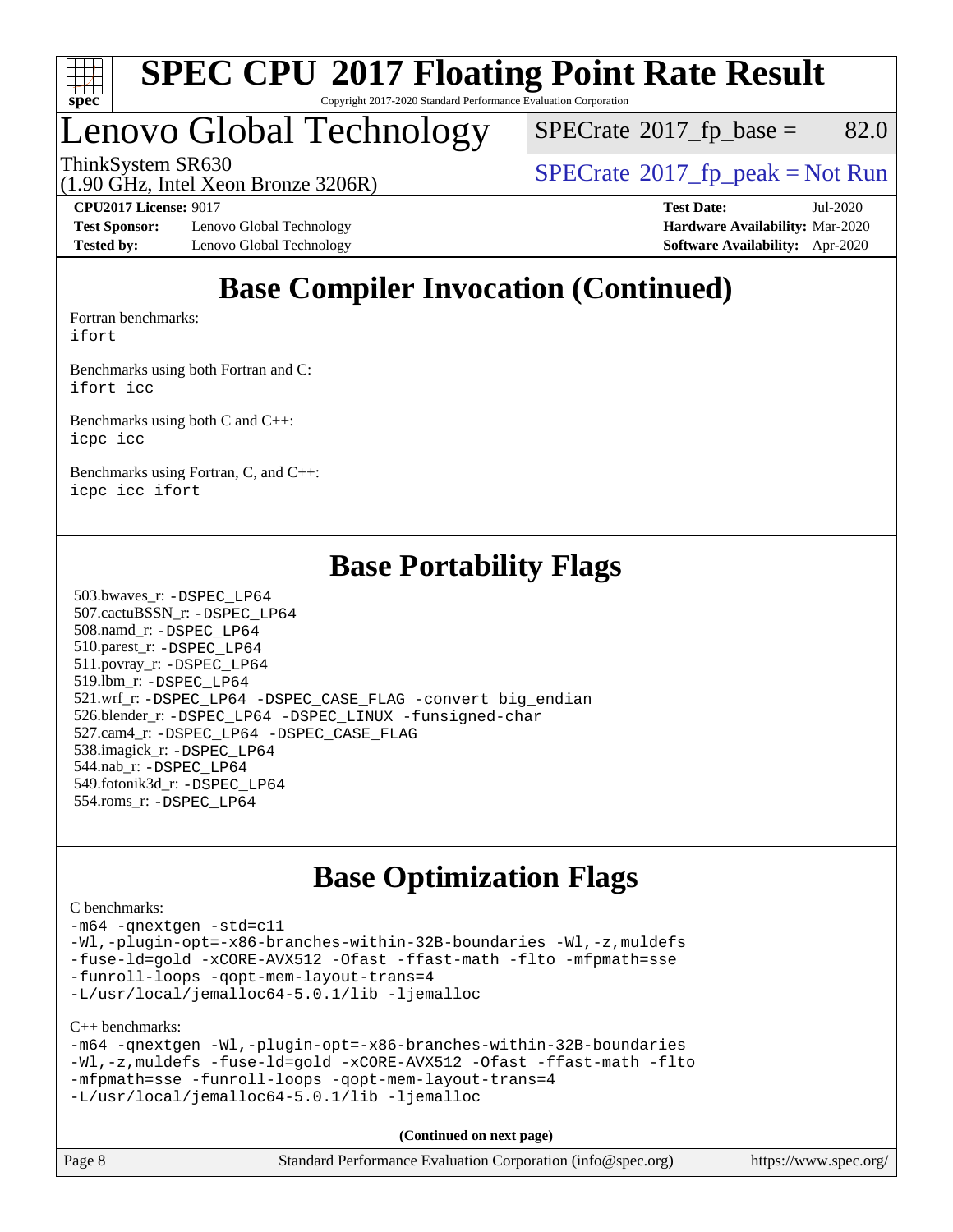

# Lenovo Global Technology

 $SPECTate$ <sup>®</sup>[2017\\_fp\\_base =](http://www.spec.org/auto/cpu2017/Docs/result-fields.html#SPECrate2017fpbase) 82.0

ThinkSystem SR630<br>(1.00 GHz, Intel Yogn Bronze 3206B) [SPECrate](http://www.spec.org/auto/cpu2017/Docs/result-fields.html#SPECrate2017fppeak)®[2017\\_fp\\_peak = N](http://www.spec.org/auto/cpu2017/Docs/result-fields.html#SPECrate2017fppeak)ot Run

(1.90 GHz, Intel Xeon Bronze 3206R)

**[Test Sponsor:](http://www.spec.org/auto/cpu2017/Docs/result-fields.html#TestSponsor)** Lenovo Global Technology **[Hardware Availability:](http://www.spec.org/auto/cpu2017/Docs/result-fields.html#HardwareAvailability)** Mar-2020 **[Tested by:](http://www.spec.org/auto/cpu2017/Docs/result-fields.html#Testedby)** Lenovo Global Technology **[Software Availability:](http://www.spec.org/auto/cpu2017/Docs/result-fields.html#SoftwareAvailability)** Apr-2020

**[CPU2017 License:](http://www.spec.org/auto/cpu2017/Docs/result-fields.html#CPU2017License)** 9017 **[Test Date:](http://www.spec.org/auto/cpu2017/Docs/result-fields.html#TestDate)** Jul-2020

## **[Base Compiler Invocation \(Continued\)](http://www.spec.org/auto/cpu2017/Docs/result-fields.html#BaseCompilerInvocation)**

[Fortran benchmarks](http://www.spec.org/auto/cpu2017/Docs/result-fields.html#Fortranbenchmarks): [ifort](http://www.spec.org/cpu2017/results/res2020q3/cpu2017-20200720-23510.flags.html#user_FCbase_intel_ifort_8111460550e3ca792625aed983ce982f94888b8b503583aa7ba2b8303487b4d8a21a13e7191a45c5fd58ff318f48f9492884d4413fa793fd88dd292cad7027ca)

[Benchmarks using both Fortran and C](http://www.spec.org/auto/cpu2017/Docs/result-fields.html#BenchmarksusingbothFortranandC): [ifort](http://www.spec.org/cpu2017/results/res2020q3/cpu2017-20200720-23510.flags.html#user_CC_FCbase_intel_ifort_8111460550e3ca792625aed983ce982f94888b8b503583aa7ba2b8303487b4d8a21a13e7191a45c5fd58ff318f48f9492884d4413fa793fd88dd292cad7027ca) [icc](http://www.spec.org/cpu2017/results/res2020q3/cpu2017-20200720-23510.flags.html#user_CC_FCbase_intel_icc_66fc1ee009f7361af1fbd72ca7dcefbb700085f36577c54f309893dd4ec40d12360134090235512931783d35fd58c0460139e722d5067c5574d8eaf2b3e37e92)

[Benchmarks using both C and C++](http://www.spec.org/auto/cpu2017/Docs/result-fields.html#BenchmarksusingbothCandCXX): [icpc](http://www.spec.org/cpu2017/results/res2020q3/cpu2017-20200720-23510.flags.html#user_CC_CXXbase_intel_icpc_c510b6838c7f56d33e37e94d029a35b4a7bccf4766a728ee175e80a419847e808290a9b78be685c44ab727ea267ec2f070ec5dc83b407c0218cded6866a35d07) [icc](http://www.spec.org/cpu2017/results/res2020q3/cpu2017-20200720-23510.flags.html#user_CC_CXXbase_intel_icc_66fc1ee009f7361af1fbd72ca7dcefbb700085f36577c54f309893dd4ec40d12360134090235512931783d35fd58c0460139e722d5067c5574d8eaf2b3e37e92)

[Benchmarks using Fortran, C, and C++:](http://www.spec.org/auto/cpu2017/Docs/result-fields.html#BenchmarksusingFortranCandCXX) [icpc](http://www.spec.org/cpu2017/results/res2020q3/cpu2017-20200720-23510.flags.html#user_CC_CXX_FCbase_intel_icpc_c510b6838c7f56d33e37e94d029a35b4a7bccf4766a728ee175e80a419847e808290a9b78be685c44ab727ea267ec2f070ec5dc83b407c0218cded6866a35d07) [icc](http://www.spec.org/cpu2017/results/res2020q3/cpu2017-20200720-23510.flags.html#user_CC_CXX_FCbase_intel_icc_66fc1ee009f7361af1fbd72ca7dcefbb700085f36577c54f309893dd4ec40d12360134090235512931783d35fd58c0460139e722d5067c5574d8eaf2b3e37e92) [ifort](http://www.spec.org/cpu2017/results/res2020q3/cpu2017-20200720-23510.flags.html#user_CC_CXX_FCbase_intel_ifort_8111460550e3ca792625aed983ce982f94888b8b503583aa7ba2b8303487b4d8a21a13e7191a45c5fd58ff318f48f9492884d4413fa793fd88dd292cad7027ca)

## **[Base Portability Flags](http://www.spec.org/auto/cpu2017/Docs/result-fields.html#BasePortabilityFlags)**

 503.bwaves\_r: [-DSPEC\\_LP64](http://www.spec.org/cpu2017/results/res2020q3/cpu2017-20200720-23510.flags.html#suite_basePORTABILITY503_bwaves_r_DSPEC_LP64) 507.cactuBSSN\_r: [-DSPEC\\_LP64](http://www.spec.org/cpu2017/results/res2020q3/cpu2017-20200720-23510.flags.html#suite_basePORTABILITY507_cactuBSSN_r_DSPEC_LP64) 508.namd\_r: [-DSPEC\\_LP64](http://www.spec.org/cpu2017/results/res2020q3/cpu2017-20200720-23510.flags.html#suite_basePORTABILITY508_namd_r_DSPEC_LP64) 510.parest\_r: [-DSPEC\\_LP64](http://www.spec.org/cpu2017/results/res2020q3/cpu2017-20200720-23510.flags.html#suite_basePORTABILITY510_parest_r_DSPEC_LP64) 511.povray\_r: [-DSPEC\\_LP64](http://www.spec.org/cpu2017/results/res2020q3/cpu2017-20200720-23510.flags.html#suite_basePORTABILITY511_povray_r_DSPEC_LP64) 519.lbm\_r: [-DSPEC\\_LP64](http://www.spec.org/cpu2017/results/res2020q3/cpu2017-20200720-23510.flags.html#suite_basePORTABILITY519_lbm_r_DSPEC_LP64) 521.wrf\_r: [-DSPEC\\_LP64](http://www.spec.org/cpu2017/results/res2020q3/cpu2017-20200720-23510.flags.html#suite_basePORTABILITY521_wrf_r_DSPEC_LP64) [-DSPEC\\_CASE\\_FLAG](http://www.spec.org/cpu2017/results/res2020q3/cpu2017-20200720-23510.flags.html#b521.wrf_r_baseCPORTABILITY_DSPEC_CASE_FLAG) [-convert big\\_endian](http://www.spec.org/cpu2017/results/res2020q3/cpu2017-20200720-23510.flags.html#user_baseFPORTABILITY521_wrf_r_convert_big_endian_c3194028bc08c63ac5d04de18c48ce6d347e4e562e8892b8bdbdc0214820426deb8554edfa529a3fb25a586e65a3d812c835984020483e7e73212c4d31a38223) 526.blender\_r: [-DSPEC\\_LP64](http://www.spec.org/cpu2017/results/res2020q3/cpu2017-20200720-23510.flags.html#suite_basePORTABILITY526_blender_r_DSPEC_LP64) [-DSPEC\\_LINUX](http://www.spec.org/cpu2017/results/res2020q3/cpu2017-20200720-23510.flags.html#b526.blender_r_baseCPORTABILITY_DSPEC_LINUX) [-funsigned-char](http://www.spec.org/cpu2017/results/res2020q3/cpu2017-20200720-23510.flags.html#user_baseCPORTABILITY526_blender_r_force_uchar_40c60f00ab013830e2dd6774aeded3ff59883ba5a1fc5fc14077f794d777847726e2a5858cbc7672e36e1b067e7e5c1d9a74f7176df07886a243d7cc18edfe67) 527.cam4\_r: [-DSPEC\\_LP64](http://www.spec.org/cpu2017/results/res2020q3/cpu2017-20200720-23510.flags.html#suite_basePORTABILITY527_cam4_r_DSPEC_LP64) [-DSPEC\\_CASE\\_FLAG](http://www.spec.org/cpu2017/results/res2020q3/cpu2017-20200720-23510.flags.html#b527.cam4_r_baseCPORTABILITY_DSPEC_CASE_FLAG) 538.imagick\_r: [-DSPEC\\_LP64](http://www.spec.org/cpu2017/results/res2020q3/cpu2017-20200720-23510.flags.html#suite_basePORTABILITY538_imagick_r_DSPEC_LP64) 544.nab\_r: [-DSPEC\\_LP64](http://www.spec.org/cpu2017/results/res2020q3/cpu2017-20200720-23510.flags.html#suite_basePORTABILITY544_nab_r_DSPEC_LP64) 549.fotonik3d\_r: [-DSPEC\\_LP64](http://www.spec.org/cpu2017/results/res2020q3/cpu2017-20200720-23510.flags.html#suite_basePORTABILITY549_fotonik3d_r_DSPEC_LP64) 554.roms\_r: [-DSPEC\\_LP64](http://www.spec.org/cpu2017/results/res2020q3/cpu2017-20200720-23510.flags.html#suite_basePORTABILITY554_roms_r_DSPEC_LP64)

## **[Base Optimization Flags](http://www.spec.org/auto/cpu2017/Docs/result-fields.html#BaseOptimizationFlags)**

#### [C benchmarks](http://www.spec.org/auto/cpu2017/Docs/result-fields.html#Cbenchmarks):

[-m64](http://www.spec.org/cpu2017/results/res2020q3/cpu2017-20200720-23510.flags.html#user_CCbase_m64-icc) [-qnextgen](http://www.spec.org/cpu2017/results/res2020q3/cpu2017-20200720-23510.flags.html#user_CCbase_f-qnextgen) [-std=c11](http://www.spec.org/cpu2017/results/res2020q3/cpu2017-20200720-23510.flags.html#user_CCbase_std-icc-std_0e1c27790398a4642dfca32ffe6c27b5796f9c2d2676156f2e42c9c44eaad0c049b1cdb667a270c34d979996257aeb8fc440bfb01818dbc9357bd9d174cb8524) [-Wl,-plugin-opt=-x86-branches-within-32B-boundaries](http://www.spec.org/cpu2017/results/res2020q3/cpu2017-20200720-23510.flags.html#user_CCbase_f-x86-branches-within-32B-boundaries_0098b4e4317ae60947b7b728078a624952a08ac37a3c797dfb4ffeb399e0c61a9dd0f2f44ce917e9361fb9076ccb15e7824594512dd315205382d84209e912f3) [-Wl,-z,muldefs](http://www.spec.org/cpu2017/results/res2020q3/cpu2017-20200720-23510.flags.html#user_CCbase_link_force_multiple1_b4cbdb97b34bdee9ceefcfe54f4c8ea74255f0b02a4b23e853cdb0e18eb4525ac79b5a88067c842dd0ee6996c24547a27a4b99331201badda8798ef8a743f577) [-fuse-ld=gold](http://www.spec.org/cpu2017/results/res2020q3/cpu2017-20200720-23510.flags.html#user_CCbase_f-fuse-ld_920b3586e2b8c6e0748b9c84fa9b744736ba725a32cab14ad8f3d4ad28eecb2f59d1144823d2e17006539a88734fe1fc08fc3035f7676166309105a78aaabc32) [-xCORE-AVX512](http://www.spec.org/cpu2017/results/res2020q3/cpu2017-20200720-23510.flags.html#user_CCbase_f-xCORE-AVX512) [-Ofast](http://www.spec.org/cpu2017/results/res2020q3/cpu2017-20200720-23510.flags.html#user_CCbase_f-Ofast) [-ffast-math](http://www.spec.org/cpu2017/results/res2020q3/cpu2017-20200720-23510.flags.html#user_CCbase_f-ffast-math) [-flto](http://www.spec.org/cpu2017/results/res2020q3/cpu2017-20200720-23510.flags.html#user_CCbase_f-flto) [-mfpmath=sse](http://www.spec.org/cpu2017/results/res2020q3/cpu2017-20200720-23510.flags.html#user_CCbase_f-mfpmath_70eb8fac26bde974f8ab713bc9086c5621c0b8d2f6c86f38af0bd7062540daf19db5f3a066d8c6684be05d84c9b6322eb3b5be6619d967835195b93d6c02afa1) [-funroll-loops](http://www.spec.org/cpu2017/results/res2020q3/cpu2017-20200720-23510.flags.html#user_CCbase_f-funroll-loops) [-qopt-mem-layout-trans=4](http://www.spec.org/cpu2017/results/res2020q3/cpu2017-20200720-23510.flags.html#user_CCbase_f-qopt-mem-layout-trans_fa39e755916c150a61361b7846f310bcdf6f04e385ef281cadf3647acec3f0ae266d1a1d22d972a7087a248fd4e6ca390a3634700869573d231a252c784941a8) [-L/usr/local/jemalloc64-5.0.1/lib](http://www.spec.org/cpu2017/results/res2020q3/cpu2017-20200720-23510.flags.html#user_CCbase_jemalloc_link_path64_1_cc289568b1a6c0fd3b62c91b824c27fcb5af5e8098e6ad028160d21144ef1b8aef3170d2acf0bee98a8da324cfe4f67d0a3d0c4cc4673d993d694dc2a0df248b) [-ljemalloc](http://www.spec.org/cpu2017/results/res2020q3/cpu2017-20200720-23510.flags.html#user_CCbase_jemalloc_link_lib_d1249b907c500fa1c0672f44f562e3d0f79738ae9e3c4a9c376d49f265a04b9c99b167ecedbf6711b3085be911c67ff61f150a17b3472be731631ba4d0471706)

[C++ benchmarks:](http://www.spec.org/auto/cpu2017/Docs/result-fields.html#CXXbenchmarks)

```
-m64 -qnextgen -Wl,-plugin-opt=-x86-branches-within-32B-boundaries
-Wl,-z,muldefs -fuse-ld=gold -xCORE-AVX512 -Ofast -ffast-math -flto
-mfpmath=sse -funroll-loops -qopt-mem-layout-trans=4
-L/usr/local/jemalloc64-5.0.1/lib -ljemalloc
```
**(Continued on next page)**

| Page 8 | Standard Performance Evaluation Corporation (info@spec.org) | https://www.spec.org/ |
|--------|-------------------------------------------------------------|-----------------------|
|--------|-------------------------------------------------------------|-----------------------|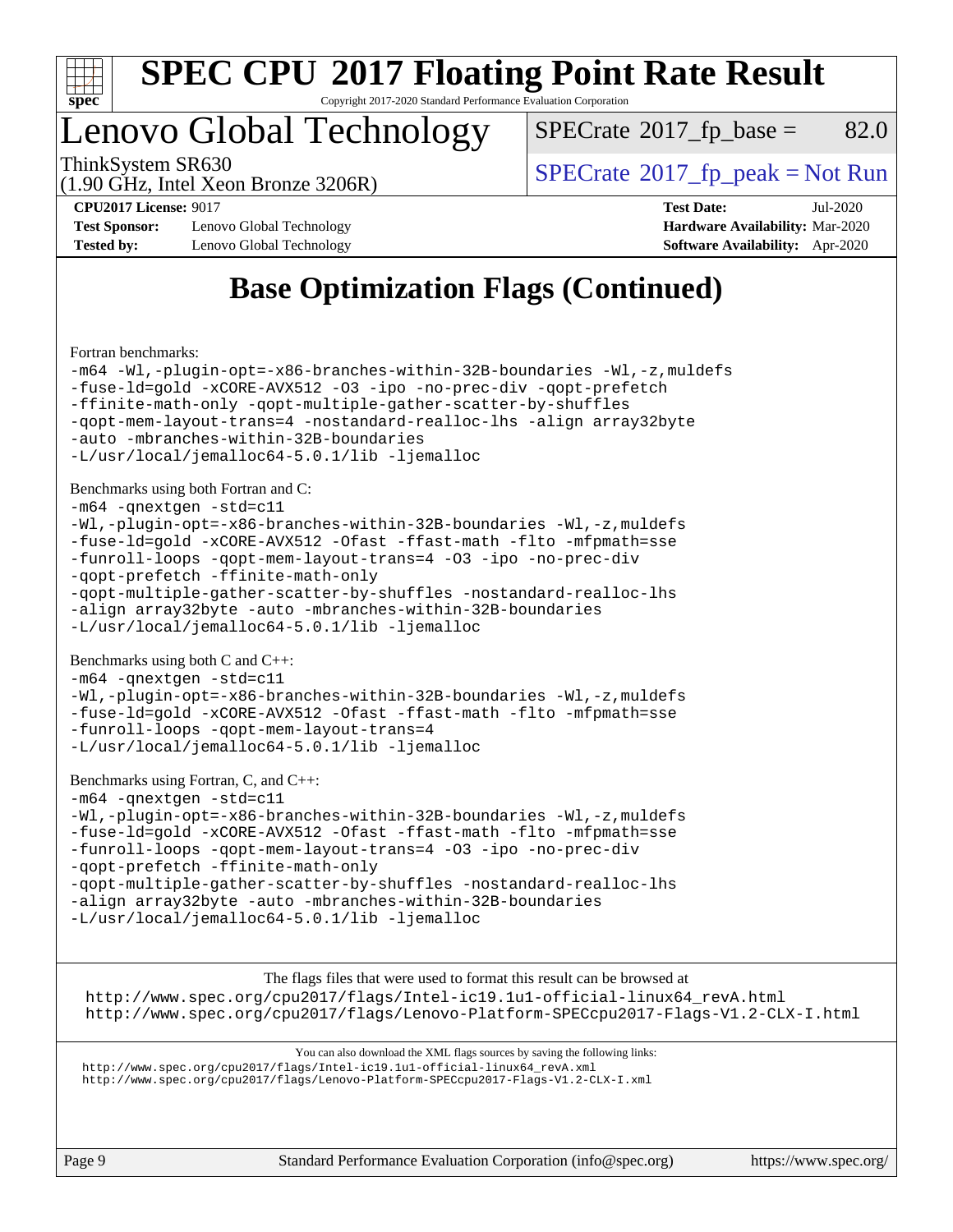

## Lenovo Global Technology

 $SPECTate$ <sup>®</sup>[2017\\_fp\\_base =](http://www.spec.org/auto/cpu2017/Docs/result-fields.html#SPECrate2017fpbase) 82.0

(1.90 GHz, Intel Xeon Bronze 3206R)

ThinkSystem SR630<br>(1.00 CHz, Intel Year Branze 2006B) [SPECrate](http://www.spec.org/auto/cpu2017/Docs/result-fields.html#SPECrate2017fppeak)®[2017\\_fp\\_peak = N](http://www.spec.org/auto/cpu2017/Docs/result-fields.html#SPECrate2017fppeak)ot Run

**[Test Sponsor:](http://www.spec.org/auto/cpu2017/Docs/result-fields.html#TestSponsor)** Lenovo Global Technology **[Hardware Availability:](http://www.spec.org/auto/cpu2017/Docs/result-fields.html#HardwareAvailability)** Mar-2020 **[Tested by:](http://www.spec.org/auto/cpu2017/Docs/result-fields.html#Testedby)** Lenovo Global Technology **[Software Availability:](http://www.spec.org/auto/cpu2017/Docs/result-fields.html#SoftwareAvailability)** Apr-2020

**[CPU2017 License:](http://www.spec.org/auto/cpu2017/Docs/result-fields.html#CPU2017License)** 9017 **[Test Date:](http://www.spec.org/auto/cpu2017/Docs/result-fields.html#TestDate)** Jul-2020

## **[Base Optimization Flags \(Continued\)](http://www.spec.org/auto/cpu2017/Docs/result-fields.html#BaseOptimizationFlags)**

[Fortran benchmarks](http://www.spec.org/auto/cpu2017/Docs/result-fields.html#Fortranbenchmarks):

```
-m64 -Wl,-plugin-opt=-x86-branches-within-32B-boundaries -Wl,-z,muldefs
-fuse-ld=gold -xCORE-AVX512 -O3 -ipo -no-prec-div -qopt-prefetch
-ffinite-math-only -qopt-multiple-gather-scatter-by-shuffles
-qopt-mem-layout-trans=4 -nostandard-realloc-lhs -align array32byte
-auto -mbranches-within-32B-boundaries
-L/usr/local/jemalloc64-5.0.1/lib -ljemalloc
Benchmarks using both Fortran and C: 
-m64 -qnextgen -std=c11
-Wl,-plugin-opt=-x86-branches-within-32B-boundaries -Wl,-z,muldefs
-fuse-ld=gold -xCORE-AVX512 -Ofast -ffast-math -flto -mfpmath=sse
-funroll-loops -qopt-mem-layout-trans=4 -O3 -ipo -no-prec-div
-qopt-prefetch -ffinite-math-only
-qopt-multiple-gather-scatter-by-shuffles -nostandard-realloc-lhs
-align array32byte -auto -mbranches-within-32B-boundaries
-L/usr/local/jemalloc64-5.0.1/lib -ljemalloc
Benchmarks using both C and C++: 
-m64 -qnextgen -std=c11
-Wl,-plugin-opt=-x86-branches-within-32B-boundaries -Wl,-z,muldefs
-fuse-ld=gold -xCORE-AVX512 -Ofast -ffast-math -flto -mfpmath=sse
-funroll-loops -qopt-mem-layout-trans=4
-L/usr/local/jemalloc64-5.0.1/lib -ljemalloc
Benchmarks using Fortran, C, and C++: 
-m64 -qnextgen -std=c11
-Wl,-plugin-opt=-x86-branches-within-32B-boundaries -Wl,-z,muldefs
-fuse-ld=gold -xCORE-AVX512 -Ofast -ffast-math -flto -mfpmath=sse
-funroll-loops -qopt-mem-layout-trans=4 -O3 -ipo -no-prec-div
-qopt-prefetch -ffinite-math-only
-qopt-multiple-gather-scatter-by-shuffles -nostandard-realloc-lhs
-align array32byte -auto -mbranches-within-32B-boundaries
```
[-L/usr/local/jemalloc64-5.0.1/lib](http://www.spec.org/cpu2017/results/res2020q3/cpu2017-20200720-23510.flags.html#user_CC_CXX_FCbase_jemalloc_link_path64_1_cc289568b1a6c0fd3b62c91b824c27fcb5af5e8098e6ad028160d21144ef1b8aef3170d2acf0bee98a8da324cfe4f67d0a3d0c4cc4673d993d694dc2a0df248b) [-ljemalloc](http://www.spec.org/cpu2017/results/res2020q3/cpu2017-20200720-23510.flags.html#user_CC_CXX_FCbase_jemalloc_link_lib_d1249b907c500fa1c0672f44f562e3d0f79738ae9e3c4a9c376d49f265a04b9c99b167ecedbf6711b3085be911c67ff61f150a17b3472be731631ba4d0471706)

[The flags files that were used to format this result can be browsed at](tmsearch)

[http://www.spec.org/cpu2017/flags/Intel-ic19.1u1-official-linux64\\_revA.html](http://www.spec.org/cpu2017/flags/Intel-ic19.1u1-official-linux64_revA.html) <http://www.spec.org/cpu2017/flags/Lenovo-Platform-SPECcpu2017-Flags-V1.2-CLX-I.html>

[You can also download the XML flags sources by saving the following links:](tmsearch) [http://www.spec.org/cpu2017/flags/Intel-ic19.1u1-official-linux64\\_revA.xml](http://www.spec.org/cpu2017/flags/Intel-ic19.1u1-official-linux64_revA.xml) <http://www.spec.org/cpu2017/flags/Lenovo-Platform-SPECcpu2017-Flags-V1.2-CLX-I.xml>